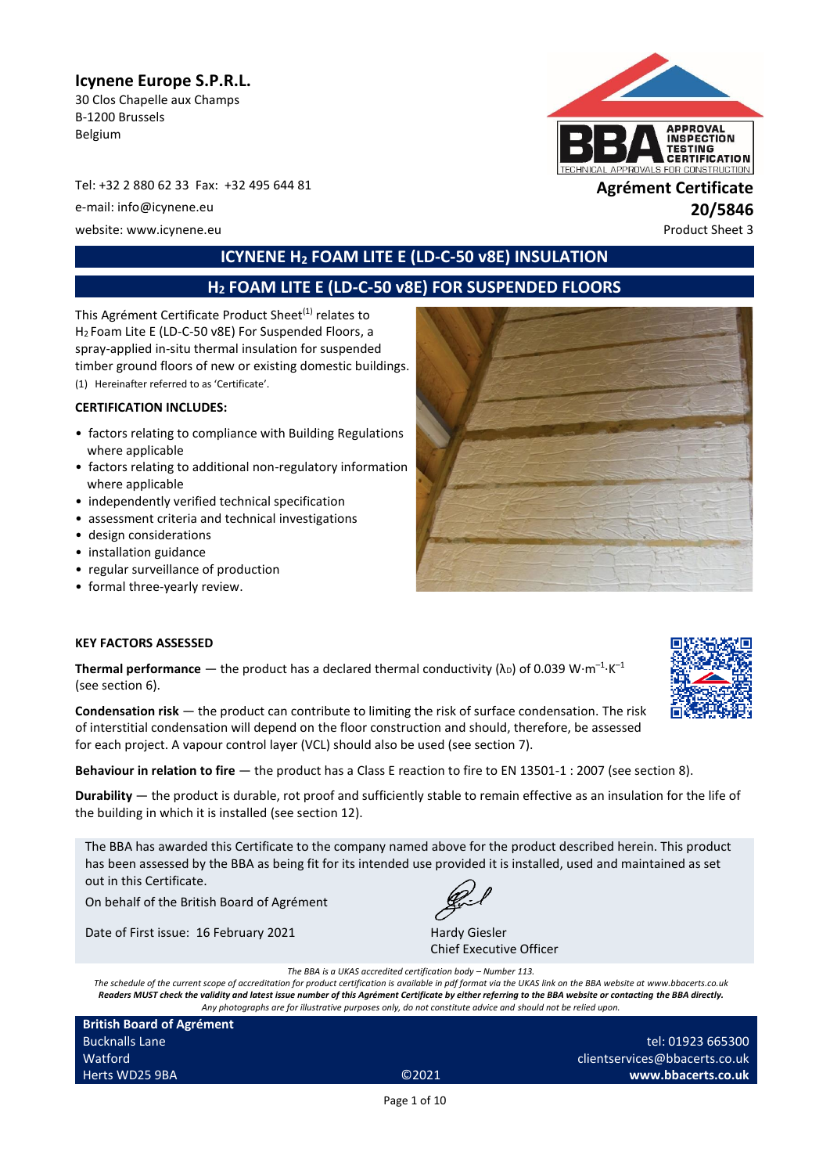# **Icynene Europe S.P.R.L.**

30 Clos Chapelle aux Champs B-1200 Brussels Belgium

Tel: +32 2 880 62 33 Fax: +32 495 644 81 **Agrément Certificate**

e-mail: info@icynene.eu **20/5846**

website: www.icynene.eu entry and the extra state of the extra state of the extra state of the extra state of the extra state of the extra state of the extra state of the extra state of the extra state of the extra state o

# **ICYNENE H<sup>2</sup> FOAM LITE E (LD-C-50 v8E) INSULATION**

# **H<sup>2</sup> FOAM LITE E (LD-C-50 v8E) FOR SUSPENDED FLOORS**

This Agrément Certificate Product Sheet<sup>(1)</sup> relates to H<sup>2</sup> Foam Lite E (LD-C-50 v8E) For Suspended Floors, a spray-applied in-situ thermal insulation for suspended timber ground floors of new or existing domestic buildings. (1) Hereinafter referred to as 'Certificate'.

#### **CERTIFICATION INCLUDES:**

- factors relating to compliance with Building Regulations where applicable
- factors relating to additional non-regulatory information where applicable
- independently verified technical specification
- assessment criteria and technical investigations
- design considerations
- installation guidance
- regular surveillance of production
- formal three-yearly review.



#### **KEY FACTORS ASSESSED**

**Thermal performance**  $-$  the product has a declared thermal conductivity ( $\lambda_{\text{D}}$ ) of 0.039 W·m<sup>-1</sup>·K<sup>-1</sup> (see section 6).

**Condensation risk** — the product can contribute to limiting the risk of surface condensation. The risk of interstitial condensation will depend on the floor construction and should, therefore, be assessed for each project. A vapour control layer (VCL) should also be used (see section 7).

**Behaviour in relation to fire** — the product has a Class E reaction to fire to EN 13501-1 : 2007 (see section 8).

**Durability** — the product is durable, rot proof and sufficiently stable to remain effective as an insulation for the life of the building in which it is installed (see section 12).

The BBA has awarded this Certificate to the company named above for the product described herein. This product has been assessed by the BBA as being fit for its intended use provided it is installed, used and maintained as set out in this Certificate.

On behalf of the British Board of Agrément

Date of First issue: 16 February 2021 Hardy Giesler



Chief Executive Officer

*The BBA is a UKAS accredited certification body – Number 113.*

*The schedule of the current scope of accreditation for product certification is available in pdf format via the UKAS link on the BBA website at www.bbacerts.co.uk Readers MUST check the validity and latest issue number of this Agrément Certificate by either referring to the BBA website or contacting the BBA directly. Any photographs are for illustrative purposes only, do not constitute advice and should not be relied upon.*

**British Board of Agrément** Bucknalls Lane Watford Herts WD25 9BA ©2021

tel: 01923 665300 clientservices@bbacerts.co.uk **www.bbacerts.co.uk**





Page 1 of 10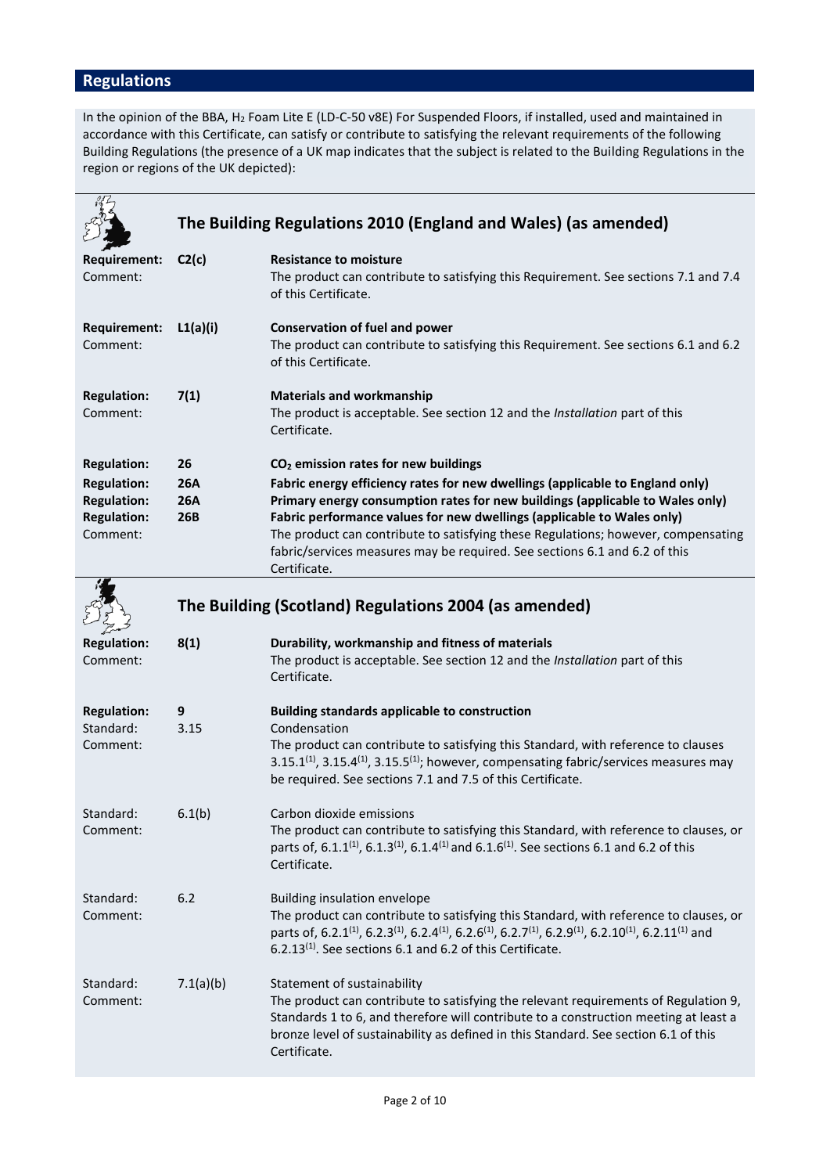# **Regulations**

In the opinion of the BBA, H<sub>2</sub> Foam Lite E (LD-C-50 v8E) For Suspended Floors, if installed, used and maintained in accordance with this Certificate, can satisfy or contribute to satisfying the relevant requirements of the following Building Regulations (the presence of a UK map indicates that the subject is related to the Building Regulations in the region or regions of the UK depicted):

|                                                                            | The Building Regulations 2010 (England and Wales) (as amended) |                                                                                                                                                                                                                                                                                                                                                                                                                             |  |  |
|----------------------------------------------------------------------------|----------------------------------------------------------------|-----------------------------------------------------------------------------------------------------------------------------------------------------------------------------------------------------------------------------------------------------------------------------------------------------------------------------------------------------------------------------------------------------------------------------|--|--|
| Requirement:<br>Comment:                                                   | C2(c)                                                          | <b>Resistance to moisture</b><br>The product can contribute to satisfying this Requirement. See sections 7.1 and 7.4<br>of this Certificate.                                                                                                                                                                                                                                                                                |  |  |
| <b>Requirement:</b><br>Comment:                                            | L1(a)(i)                                                       | <b>Conservation of fuel and power</b><br>The product can contribute to satisfying this Requirement. See sections 6.1 and 6.2<br>of this Certificate.                                                                                                                                                                                                                                                                        |  |  |
| <b>Regulation:</b><br>Comment:                                             | 7(1)                                                           | <b>Materials and workmanship</b><br>The product is acceptable. See section 12 and the Installation part of this<br>Certificate.                                                                                                                                                                                                                                                                                             |  |  |
| <b>Regulation:</b>                                                         | 26                                                             | CO <sub>2</sub> emission rates for new buildings                                                                                                                                                                                                                                                                                                                                                                            |  |  |
| <b>Regulation:</b><br><b>Regulation:</b><br><b>Regulation:</b><br>Comment: | <b>26A</b><br><b>26A</b><br>26B                                | Fabric energy efficiency rates for new dwellings (applicable to England only)<br>Primary energy consumption rates for new buildings (applicable to Wales only)<br>Fabric performance values for new dwellings (applicable to Wales only)<br>The product can contribute to satisfying these Regulations; however, compensating<br>fabric/services measures may be required. See sections 6.1 and 6.2 of this<br>Certificate. |  |  |
|                                                                            | The Building (Scotland) Regulations 2004 (as amended)          |                                                                                                                                                                                                                                                                                                                                                                                                                             |  |  |
| <b>Regulation:</b><br>Comment:                                             | 8(1)                                                           | Durability, workmanship and fitness of materials<br>The product is acceptable. See section 12 and the Installation part of this<br>Certificate.                                                                                                                                                                                                                                                                             |  |  |
| <b>Regulation:</b><br>Standard:<br>Comment:                                | 9<br>3.15                                                      | <b>Building standards applicable to construction</b><br>Condensation<br>The product can contribute to satisfying this Standard, with reference to clauses<br>3.15.1 <sup>(1)</sup> , 3.15.4 <sup>(1)</sup> , 3.15.5 <sup>(1)</sup> ; however, compensating fabric/services measures may<br>be required. See sections 7.1 and 7.5 of this Certificate.                                                                       |  |  |
| Standard:<br>Comment:                                                      | 6.1(b)                                                         | Carbon dioxide emissions<br>The product can contribute to satisfying this Standard, with reference to clauses, or<br>parts of, 6.1.1 <sup>(1)</sup> , 6.1.3 <sup>(1)</sup> , 6.1.4 <sup>(1)</sup> and 6.1.6 <sup>(1)</sup> . See sections 6.1 and 6.2 of this<br>Certificate.                                                                                                                                               |  |  |
| Standard:<br>Comment:                                                      | 6.2                                                            | Building insulation envelope<br>The product can contribute to satisfying this Standard, with reference to clauses, or<br>parts of, 6.2.1 <sup>(1)</sup> , 6.2.3 <sup>(1)</sup> , 6.2.4 <sup>(1)</sup> , 6.2.6 <sup>(1)</sup> , 6.2.7 <sup>(1)</sup> , 6.2.9 <sup>(1)</sup> , 6.2.10 <sup>(1)</sup> , 6.2.11 <sup>(1)</sup> and<br>$6.2.13(1)$ . See sections 6.1 and 6.2 of this Certificate.                               |  |  |
| Standard:<br>Comment:                                                      | 7.1(a)(b)                                                      | Statement of sustainability<br>The product can contribute to satisfying the relevant requirements of Regulation 9,<br>Standards 1 to 6, and therefore will contribute to a construction meeting at least a<br>bronze level of sustainability as defined in this Standard. See section 6.1 of this<br>Certificate.                                                                                                           |  |  |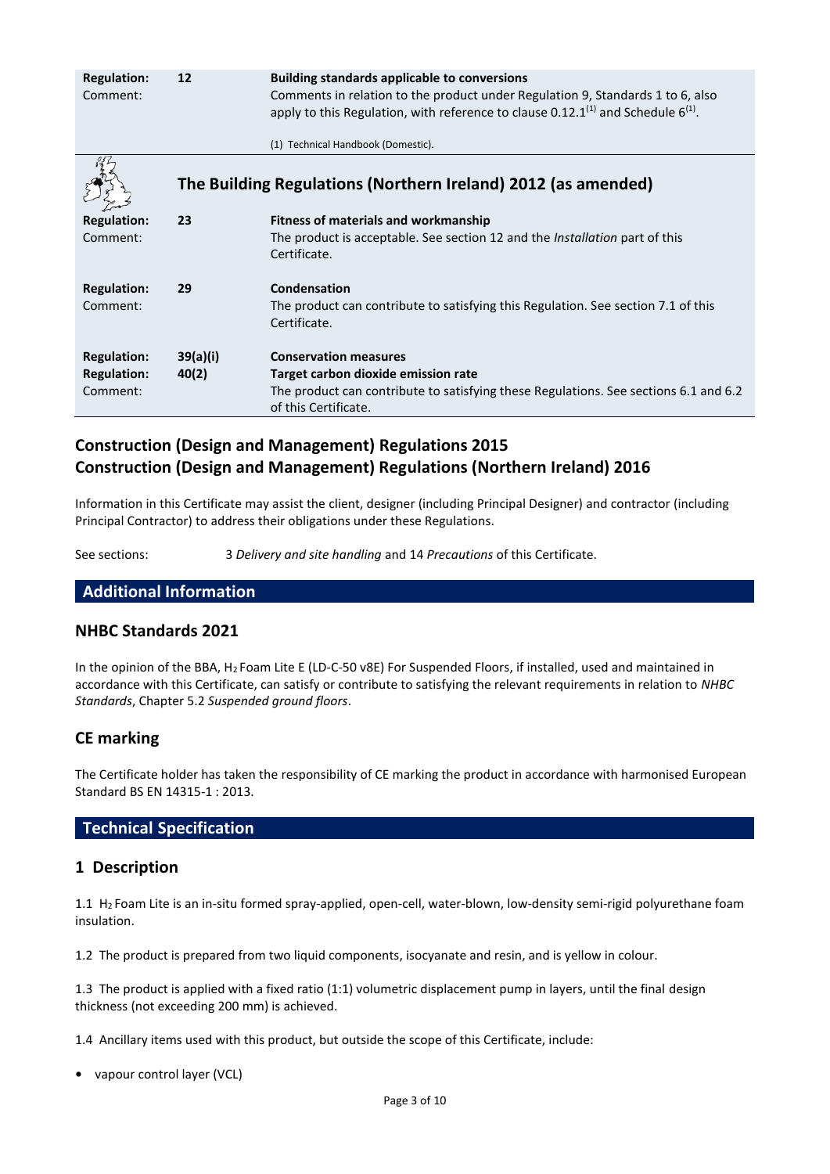| <b>Regulation:</b><br>Comment:                       | 12                | <b>Building standards applicable to conversions</b><br>Comments in relation to the product under Regulation 9, Standards 1 to 6, also<br>apply to this Regulation, with reference to clause 0.12.1 <sup>(1)</sup> and Schedule $6^{(1)}$ .<br>(1) Technical Handbook (Domestic). |
|------------------------------------------------------|-------------------|----------------------------------------------------------------------------------------------------------------------------------------------------------------------------------------------------------------------------------------------------------------------------------|
|                                                      |                   | The Building Regulations (Northern Ireland) 2012 (as amended)                                                                                                                                                                                                                    |
| <b>Regulation:</b><br>Comment:                       | 23                | <b>Fitness of materials and workmanship</b><br>The product is acceptable. See section 12 and the Installation part of this<br>Certificate.                                                                                                                                       |
| <b>Regulation:</b><br>Comment:                       | 29                | Condensation<br>The product can contribute to satisfying this Regulation. See section 7.1 of this<br>Certificate.                                                                                                                                                                |
| <b>Regulation:</b><br><b>Regulation:</b><br>Comment: | 39(a)(i)<br>40(2) | <b>Conservation measures</b><br>Target carbon dioxide emission rate<br>The product can contribute to satisfying these Regulations. See sections 6.1 and 6.2<br>of this Certificate.                                                                                              |

# **Construction (Design and Management) Regulations 2015 Construction (Design and Management) Regulations (Northern Ireland) 2016**

Information in this Certificate may assist the client, designer (including Principal Designer) and contractor (including Principal Contractor) to address their obligations under these Regulations.

See sections: 3 *Delivery and site handling* and 14 *Precautions* of this Certificate.

## **Additional Information**

## **NHBC Standards 2021**

In the opinion of the BBA, H<sup>2</sup> Foam Lite E (LD-C-50 v8E) For Suspended Floors, if installed, used and maintained in accordance with this Certificate, can satisfy or contribute to satisfying the relevant requirements in relation to *NHBC Standards*, Chapter 5.2 *Suspended ground floors*.

## **CE marking**

The Certificate holder has taken the responsibility of CE marking the product in accordance with harmonised European Standard BS EN 14315-1 : 2013.

## **Technical Specification**

## **1 Description**

1.1 H<sup>2</sup> Foam Lite is an in-situ formed spray-applied, open-cell, water-blown, low-density semi-rigid polyurethane foam insulation.

1.2 The product is prepared from two liquid components, isocyanate and resin, and is yellow in colour.

1.3 The product is applied with a fixed ratio (1:1) volumetric displacement pump in layers, until the final design thickness (not exceeding 200 mm) is achieved.

1.4 Ancillary items used with this product, but outside the scope of this Certificate, include:

**•** vapour control layer (VCL)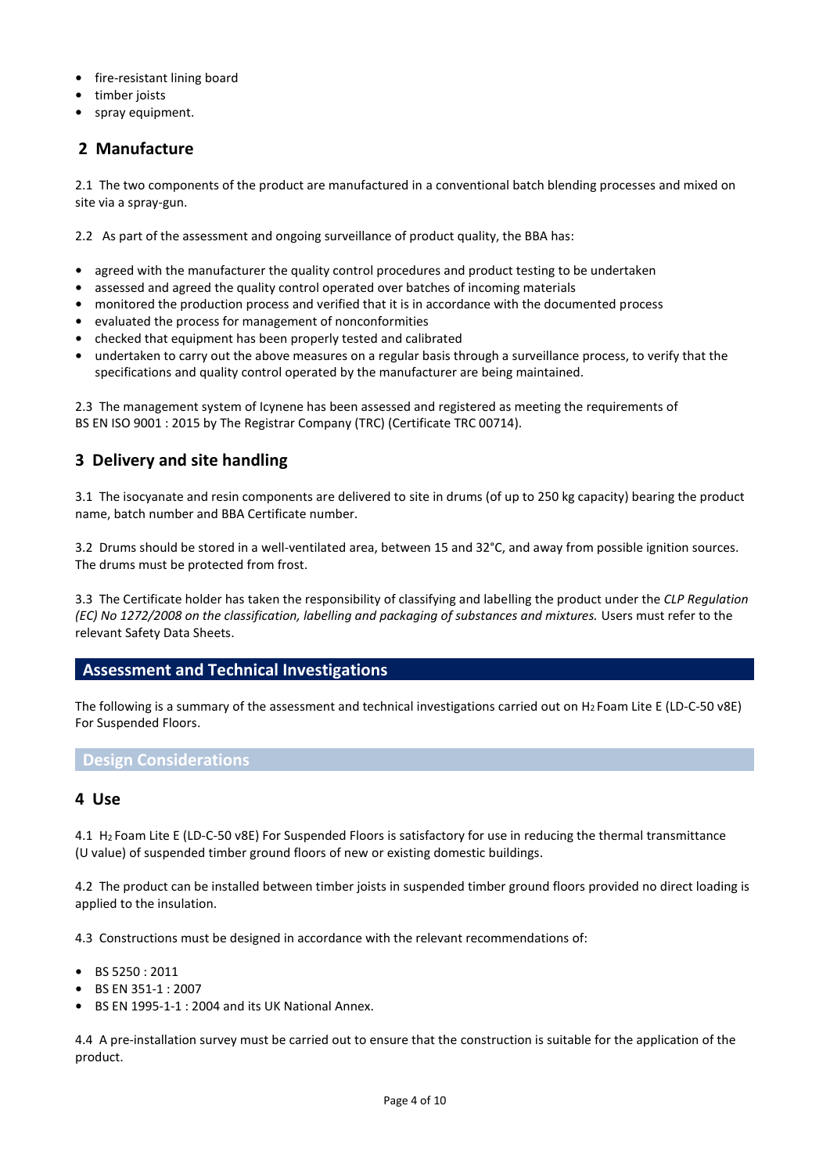- **•** fire-resistant lining board
- **•** timber joists
- **•** spray equipment.

# **2 Manufacture**

2.1 The two components of the product are manufactured in a conventional batch blending processes and mixed on site via a spray-gun.

2.2 As part of the assessment and ongoing surveillance of product quality, the BBA has:

- agreed with the manufacturer the quality control procedures and product testing to be undertaken
- **•** assessed and agreed the quality control operated over batches of incoming materials
- **•** monitored the production process and verified that it is in accordance with the documented process
- **•** evaluated the process for management of nonconformities
- **•** checked that equipment has been properly tested and calibrated
- **•** undertaken to carry out the above measures on a regular basis through a surveillance process, to verify that the specifications and quality control operated by the manufacturer are being maintained.

2.3 The management system of Icynene has been assessed and registered as meeting the requirements of BS EN ISO 9001 : 2015 by The Registrar Company (TRC) (Certificate TRC 00714).

# **3 Delivery and site handling**

3.1 The isocyanate and resin components are delivered to site in drums (of up to 250 kg capacity) bearing the product name, batch number and BBA Certificate number.

3.2 Drums should be stored in a well-ventilated area, between 15 and 32°C, and away from possible ignition sources. The drums must be protected from frost.

3.3 The Certificate holder has taken the responsibility of classifying and labelling the product under the *CLP Regulation (EC) No 1272/2008 on the classification, labelling and packaging of substances and mixtures.* Users must refer to the relevant Safety Data Sheets.

## **Assessment and Technical Investigations**

The following is a summary of the assessment and technical investigations carried out on H<sup>2</sup> Foam Lite E (LD-C-50 v8E) For Suspended Floors.

#### **Design Considerations**

#### **4 Use**

4.1 H<sup>2</sup> Foam Lite E (LD-C-50 v8E) For Suspended Floors is satisfactory for use in reducing the thermal transmittance (U value) of suspended timber ground floors of new or existing domestic buildings.

4.2 The product can be installed between timber joists in suspended timber ground floors provided no direct loading is applied to the insulation.

4.3 Constructions must be designed in accordance with the relevant recommendations of:

- **•** BS 5250 : 2011
- **•** BS EN 351-1 : 2007
- **•** BS EN 1995-1-1 : 2004 and its UK National Annex.

4.4 A pre-installation survey must be carried out to ensure that the construction is suitable for the application of the product.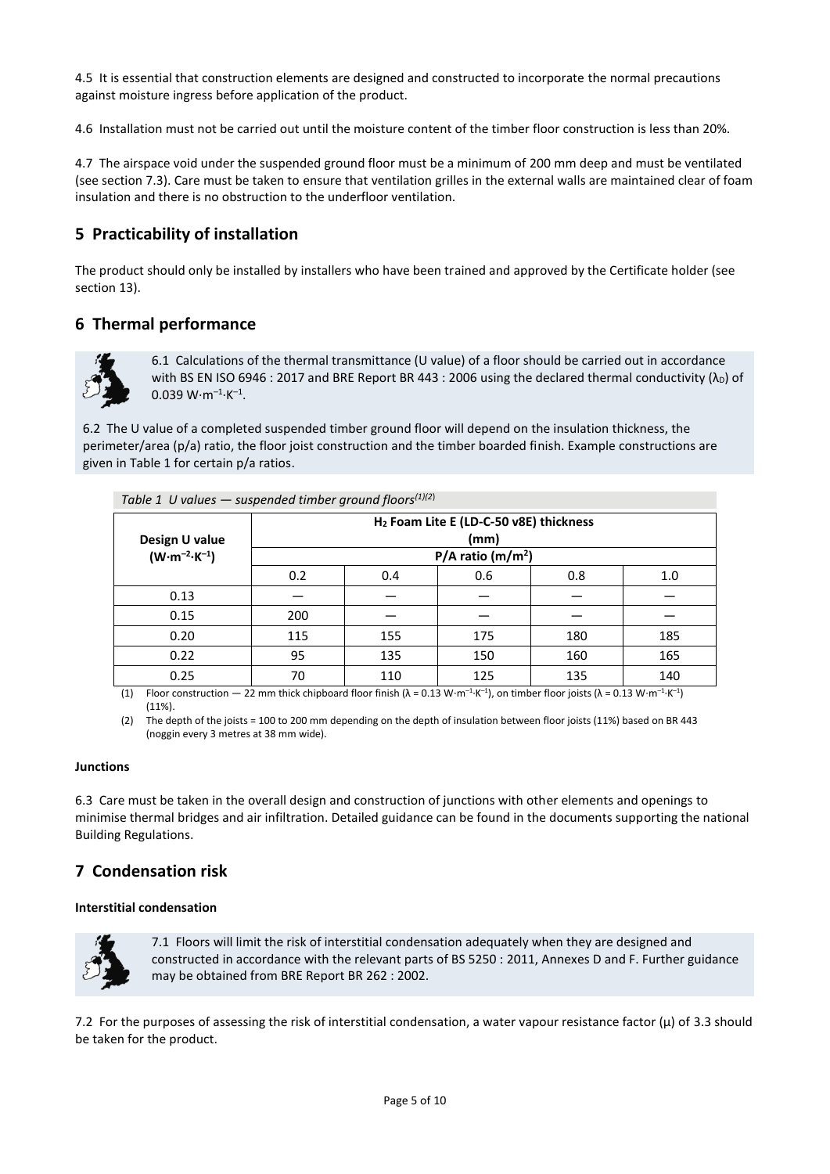4.5 It is essential that construction elements are designed and constructed to incorporate the normal precautions against moisture ingress before application of the product.

4.6 Installation must not be carried out until the moisture content of the timber floor construction is less than 20%.

4.7 The airspace void under the suspended ground floor must be a minimum of 200 mm deep and must be ventilated (see section 7.3). Care must be taken to ensure that ventilation grilles in the external walls are maintained clear of foam insulation and there is no obstruction to the underfloor ventilation.

# **5 Practicability of installation**

The product should only be installed by installers who have been trained and approved by the Certificate holder (see section 13).

# **6 Thermal performance**



6.1 Calculations of the thermal transmittance (U value) of a floor should be carried out in accordance with BS EN ISO 6946 : 2017 and BRE Report BR 443 : 2006 using the declared thermal conductivity  $(\lambda_D)$  of  $0.039 W·m<sup>-1</sup>·K<sup>-1</sup>$ .

6.2 The U value of a completed suspended timber ground floor will depend on the insulation thickness, the perimeter/area (p/a) ratio, the floor joist construction and the timber boarded finish. Example constructions are given in Table 1 for certain p/a ratios.

| $. 5.5.5 = 5.5.55$                                         |     |     |     |     |  |  |
|------------------------------------------------------------|-----|-----|-----|-----|--|--|
| H <sub>2</sub> Foam Lite E (LD-C-50 v8E) thickness<br>(mm) |     |     |     |     |  |  |
| $P/A$ ratio (m/m <sup>2</sup> )                            |     |     |     |     |  |  |
| 0.2                                                        | 0.4 | 0.6 | 0.8 | 1.0 |  |  |
|                                                            |     |     |     |     |  |  |
| 200                                                        |     |     |     |     |  |  |
| 115                                                        | 155 | 175 | 180 | 185 |  |  |
| 95                                                         | 135 | 150 | 160 | 165 |  |  |
| 70                                                         | 110 | 125 | 135 | 140 |  |  |
|                                                            |     |     |     |     |  |  |

*Table 1 II values — suspended timber ground floors*<sup> $(1)(2)$ </sup>

(1) Floor construction  $-22$  mm thick chipboard floor finish ( $\lambda = 0.13$  W⋅m<sup>-1</sup>⋅K<sup>-1</sup>), on timber floor joists ( $\lambda = 0.13$  W⋅m<sup>-1</sup>⋅K<sup>-1</sup>) (11%).

(2) The depth of the joists = 100 to 200 mm depending on the depth of insulation between floor joists (11%) based on BR 443 (noggin every 3 metres at 38 mm wide).

#### **Junctions**

6.3 Care must be taken in the overall design and construction of junctions with other elements and openings to minimise thermal bridges and air infiltration. Detailed guidance can be found in the documents supporting the national Building Regulations.

# **7 Condensation risk**

#### **Interstitial condensation**



7.1 Floors will limit the risk of interstitial condensation adequately when they are designed and constructed in accordance with the relevant parts of BS 5250 : 2011, Annexes D and F. Further guidance may be obtained from BRE Report BR 262 : 2002.

7.2 For the purposes of assessing the risk of interstitial condensation, a water vapour resistance factor  $(\mu)$  of 3.3 should be taken for the product.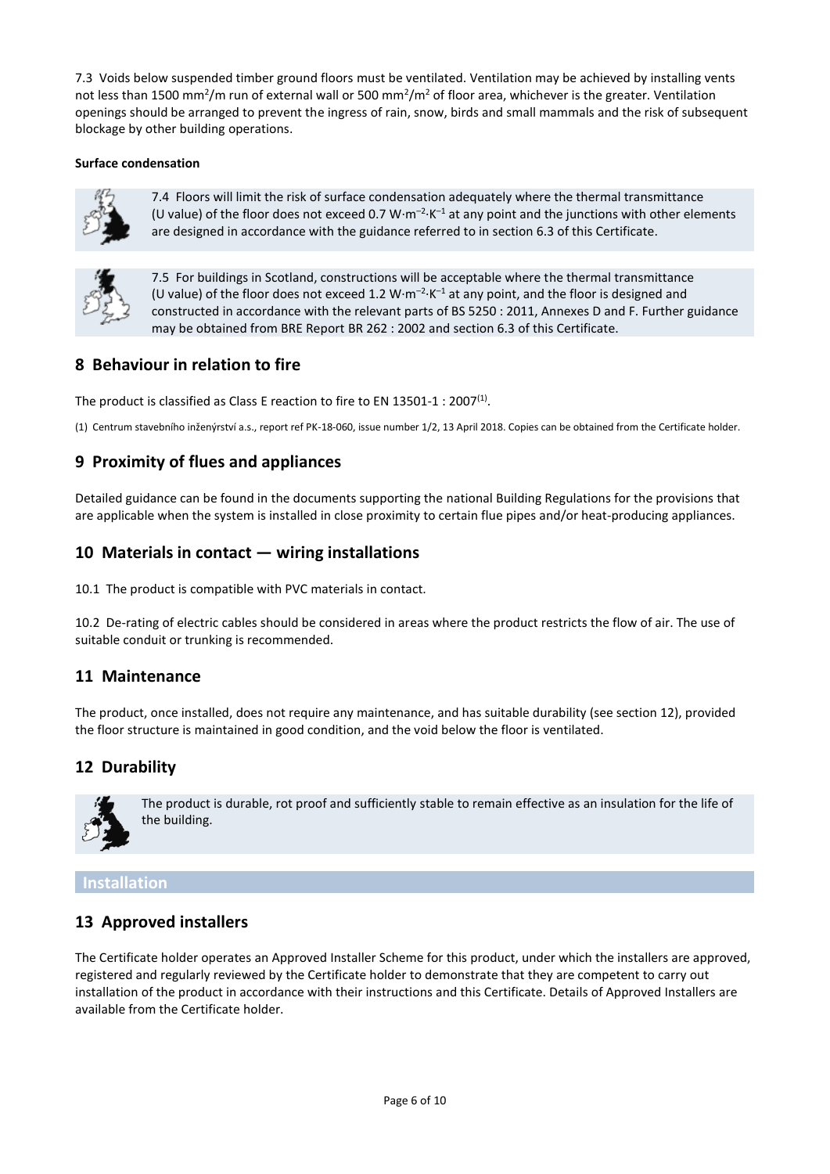7.3 Voids below suspended timber ground floors must be ventilated. Ventilation may be achieved by installing vents not less than 1500 mm<sup>2</sup>/m run of external wall or 500 mm<sup>2</sup>/m<sup>2</sup> of floor area, whichever is the greater. Ventilation openings should be arranged to prevent the ingress of rain, snow, birds and small mammals and the risk of subsequent blockage by other building operations.

#### **Surface condensation**



7.4 Floors will limit the risk of surface condensation adequately where the thermal transmittance (U value) of the floor does not exceed 0.7 W $\cdot$ m<sup>-2</sup> $\cdot$ K<sup>-1</sup> at any point and the junctions with other elements are designed in accordance with the guidance referred to in section 6.3 of this Certificate.



7.5 For buildings in Scotland, constructions will be acceptable where the thermal transmittance (U value) of the floor does not exceed 1.2  $W \cdot m^{-2} \cdot K^{-1}$  at any point, and the floor is designed and constructed in accordance with the relevant parts of BS 5250 : 2011, Annexes D and F. Further guidance may be obtained from BRE Report BR 262 : 2002 and section 6.3 of this Certificate.

# **8 Behaviour in relation to fire**

The product is classified as Class E reaction to fire to EN 13501-1 : 2007<sup>(1)</sup>.

(1) Centrum stavebního inženýrství a.s., report ref PK-18-060, issue number 1/2, 13 April 2018. Copies can be obtained from the Certificate holder.

# **9 Proximity of flues and appliances**

Detailed guidance can be found in the documents supporting the national Building Regulations for the provisions that are applicable when the system is installed in close proximity to certain flue pipes and/or heat-producing appliances.

## **10 Materials in contact — wiring installations**

10.1 The product is compatible with PVC materials in contact.

10.2 De-rating of electric cables should be considered in areas where the product restricts the flow of air. The use of suitable conduit or trunking is recommended.

## **11 Maintenance**

The product, once installed, does not require any maintenance, and has suitable durability (see section 12), provided the floor structure is maintained in good condition, and the void below the floor is ventilated.

# **12 Durability**



The product is durable, rot proof and sufficiently stable to remain effective as an insulation for the life of the building.

## **Installation**

# **13 Approved installers**

The Certificate holder operates an Approved Installer Scheme for this product, under which the installers are approved, registered and regularly reviewed by the Certificate holder to demonstrate that they are competent to carry out installation of the product in accordance with their instructions and this Certificate. Details of Approved Installers are available from the Certificate holder.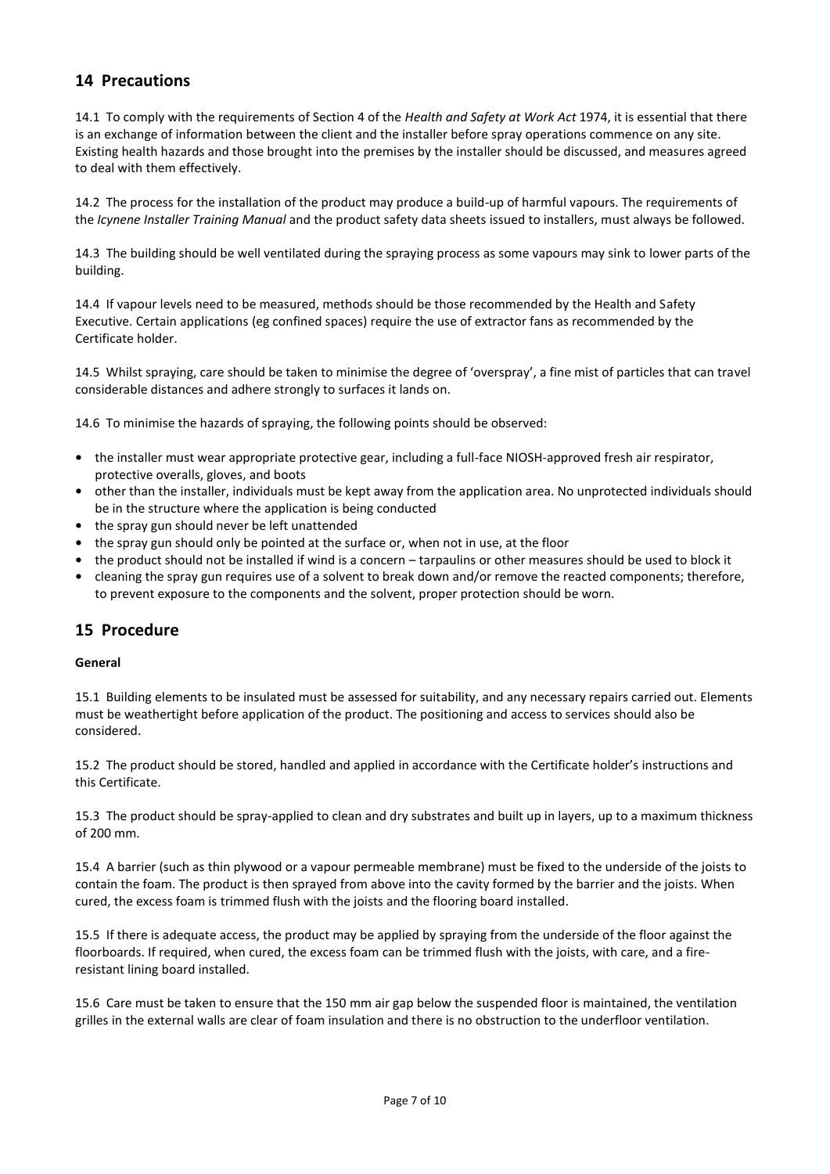# **14 Precautions**

14.1 To comply with the requirements of Section 4 of the *Health and Safety at Work Act* 1974, it is essential that there is an exchange of information between the client and the installer before spray operations commence on any site. Existing health hazards and those brought into the premises by the installer should be discussed, and measures agreed to deal with them effectively.

14.2 The process for the installation of the product may produce a build-up of harmful vapours. The requirements of the *Icynene Installer Training Manual* and the product safety data sheets issued to installers, must always be followed.

14.3 The building should be well ventilated during the spraying process as some vapours may sink to lower parts of the building.

14.4 If vapour levels need to be measured, methods should be those recommended by the Health and Safety Executive. Certain applications (eg confined spaces) require the use of extractor fans as recommended by the Certificate holder.

14.5 Whilst spraying, care should be taken to minimise the degree of 'overspray', a fine mist of particles that can travel considerable distances and adhere strongly to surfaces it lands on.

14.6 To minimise the hazards of spraying, the following points should be observed:

- **•** the installer must wear appropriate protective gear, including a full-face NIOSH-approved fresh air respirator, protective overalls, gloves, and boots
- **•** other than the installer, individuals must be kept away from the application area. No unprotected individuals should be in the structure where the application is being conducted
- **•** the spray gun should never be left unattended
- **•** the spray gun should only be pointed at the surface or, when not in use, at the floor
- **•** the product should not be installed if wind is a concern tarpaulins or other measures should be used to block it
- **•** cleaning the spray gun requires use of a solvent to break down and/or remove the reacted components; therefore, to prevent exposure to the components and the solvent, proper protection should be worn.

## **15 Procedure**

#### **General**

15.1 Building elements to be insulated must be assessed for suitability, and any necessary repairs carried out. Elements must be weathertight before application of the product. The positioning and access to services should also be considered.

15.2 The product should be stored, handled and applied in accordance with the Certificate holder's instructions and this Certificate.

15.3 The product should be spray-applied to clean and dry substrates and built up in layers, up to a maximum thickness of 200 mm.

15.4 A barrier (such as thin plywood or a vapour permeable membrane) must be fixed to the underside of the joists to contain the foam. The product is then sprayed from above into the cavity formed by the barrier and the joists. When cured, the excess foam is trimmed flush with the joists and the flooring board installed.

15.5 If there is adequate access, the product may be applied by spraying from the underside of the floor against the floorboards. If required, when cured, the excess foam can be trimmed flush with the joists, with care, and a fireresistant lining board installed.

15.6 Care must be taken to ensure that the 150 mm air gap below the suspended floor is maintained, the ventilation grilles in the external walls are clear of foam insulation and there is no obstruction to the underfloor ventilation.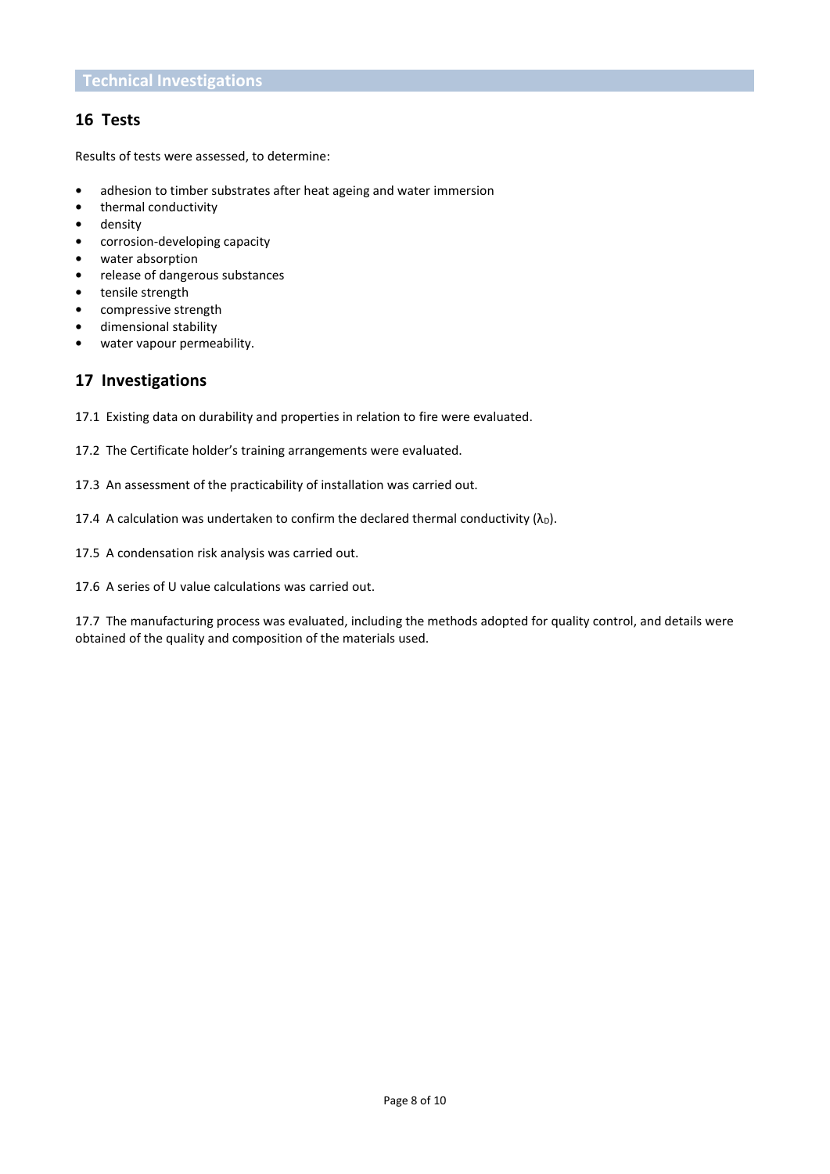# **16 Tests**

Results of tests were assessed, to determine:

- **•** adhesion to timber substrates after heat ageing and water immersion
- **•** thermal conductivity
- **•** density
- **•** corrosion-developing capacity
- **•** water absorption
- **•** release of dangerous substances
- **•** tensile strength
- **•** compressive strength
- **•** dimensional stability
- **•** water vapour permeability.

# **17 Investigations**

17.1 Existing data on durability and properties in relation to fire were evaluated.

- 17.2 The Certificate holder's training arrangements were evaluated.
- 17.3 An assessment of the practicability of installation was carried out.
- 17.4 A calculation was undertaken to confirm the declared thermal conductivity  $(\lambda_D)$ .
- 17.5 A condensation risk analysis was carried out.
- 17.6 A series of U value calculations was carried out.

17.7 The manufacturing process was evaluated, including the methods adopted for quality control, and details were obtained of the quality and composition of the materials used.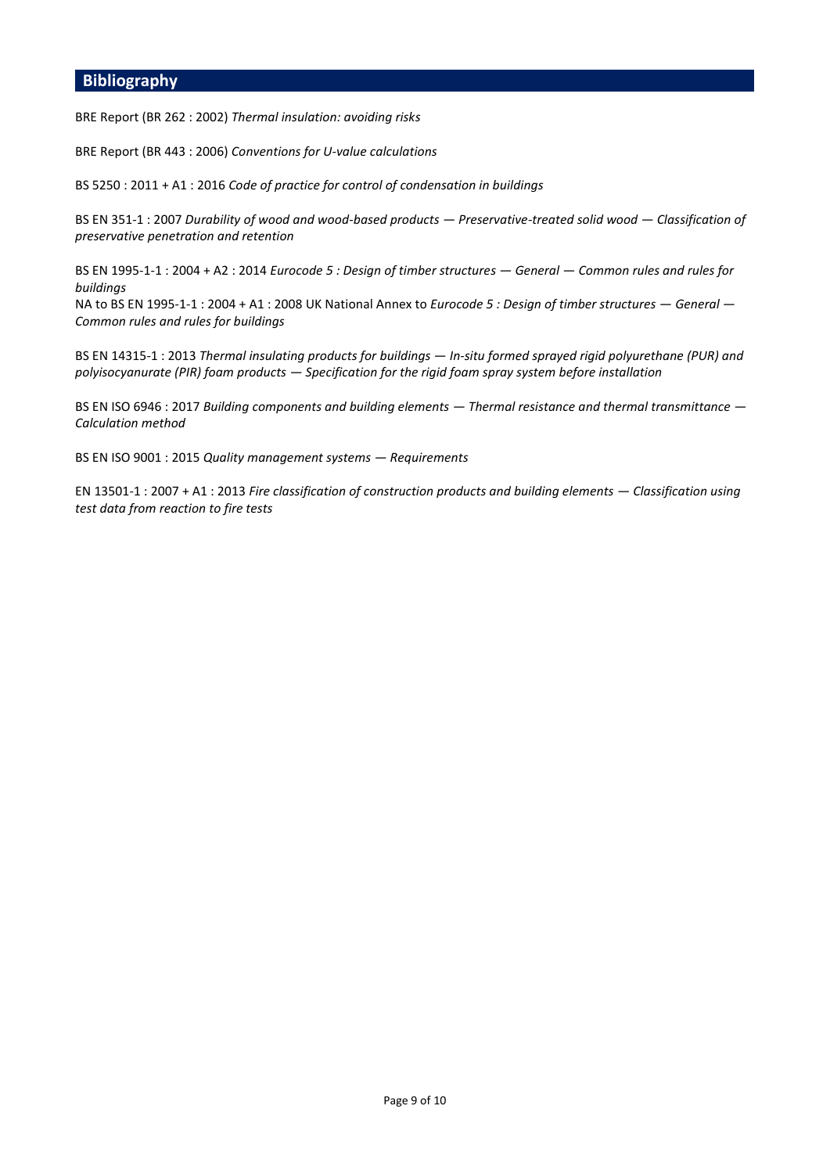#### **Bibliography**

BRE Report (BR 262 : 2002) *Thermal insulation: avoiding risks*

BRE Report (BR 443 : 2006) *Conventions for U-value calculations*

BS 5250 : 2011 + A1 : 2016 *Code of practice for control of condensation in buildings*

BS EN 351-1 : 2007 *Durability of wood and wood-based products — Preservative-treated solid wood — Classification of preservative penetration and retention*

BS EN 1995-1-1 : 2004 + A2 : 2014 *Eurocode 5 : Design of timber structures — General — Common rules and rules for buildings*

NA to BS EN 1995-1-1 : 2004 + A1 : 2008 UK National Annex to *Eurocode 5 : Design of timber structures — General — Common rules and rules for buildings*

BS EN 14315-1 : 2013 *Thermal insulating products for buildings — In-situ formed sprayed rigid polyurethane (PUR) and polyisocyanurate (PIR) foam products — Specification for the rigid foam spray system before installation*

BS EN ISO 6946 : 2017 *Building components and building elements — Thermal resistance and thermal transmittance — Calculation method*

BS EN ISO 9001 : 2015 *Quality management systems — Requirements*

EN 13501-1 : 2007 + A1 : 2013 *Fire classification of construction products and building elements — Classification using test data from reaction to fire tests*